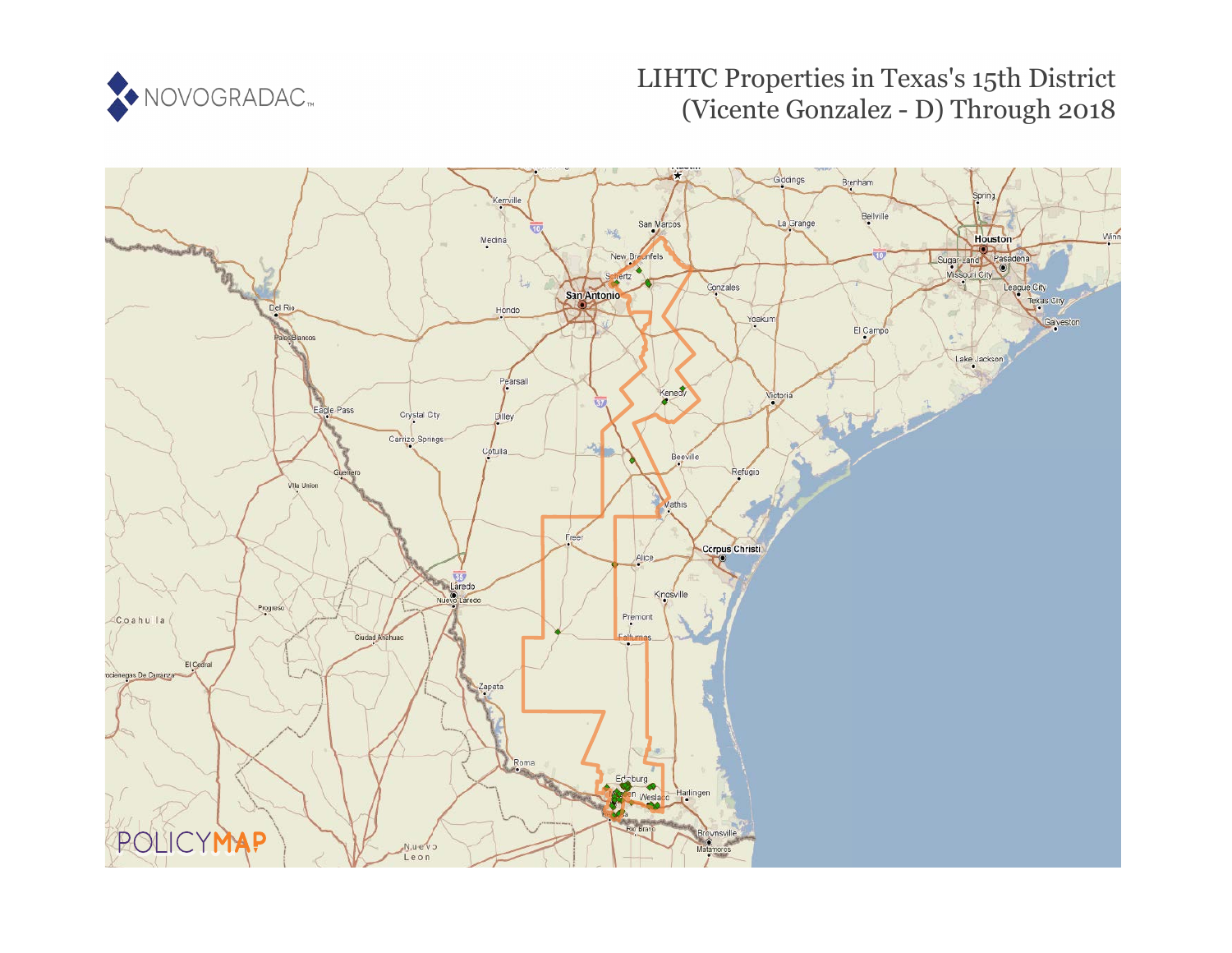

# LIHTC Properties in Texas's 15th District (Vicente Gonzalez - D) Through 2018

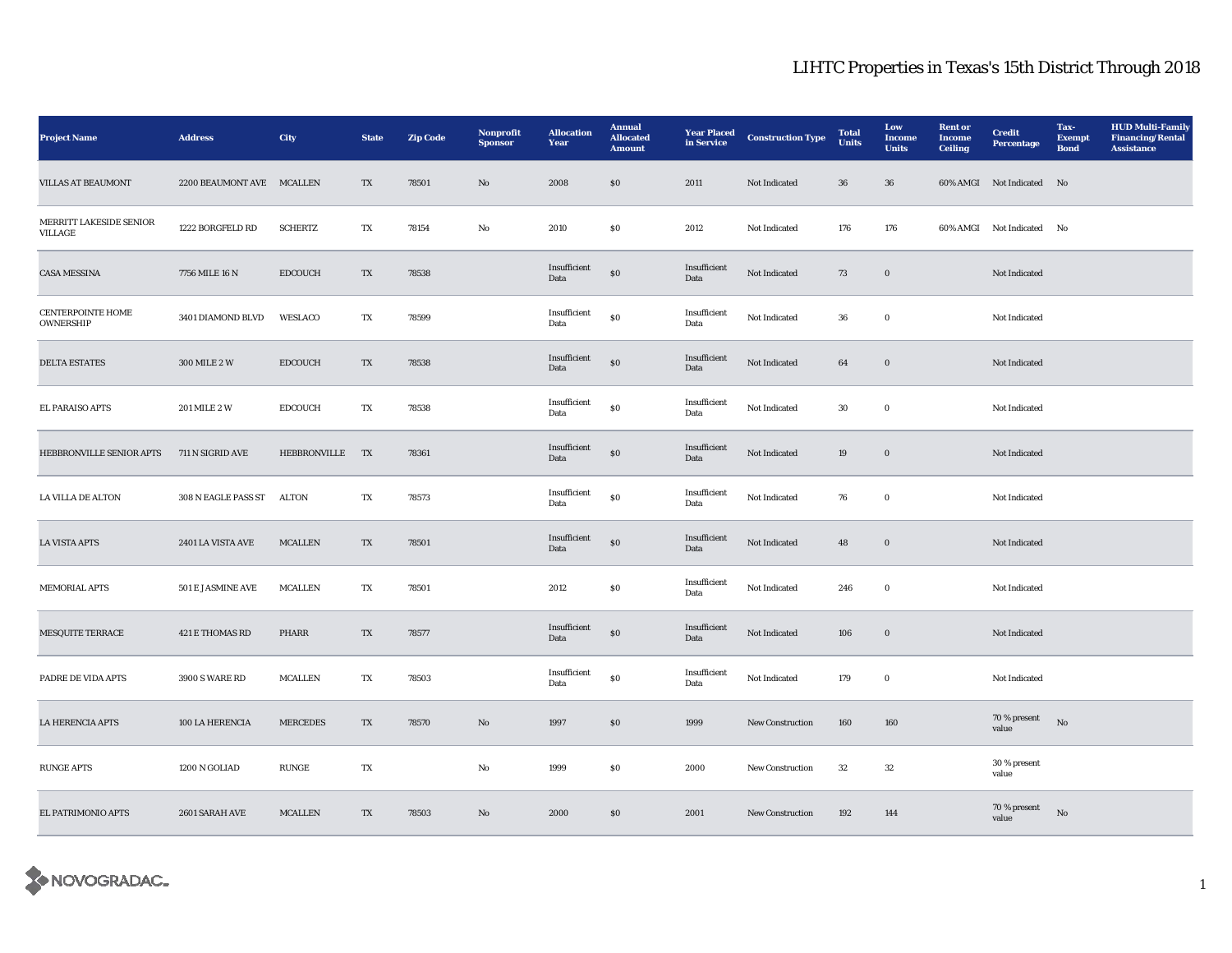| <b>Project Name</b>                          | <b>Address</b>            | <b>City</b>     | <b>State</b> | <b>Zip Code</b> | Nonprofit<br><b>Sponsor</b> | <b>Allocation</b><br>Year | <b>Annual</b><br><b>Allocated</b><br><b>Amount</b> | <b>Year Placed</b><br>in Service | <b>Construction Type</b> | <b>Total</b><br><b>Units</b> | Low<br>Income<br><b>Units</b> | <b>Rent</b> or<br><b>Income</b><br><b>Ceiling</b> | <b>Credit</b><br><b>Percentage</b> | Tax-<br><b>Exempt</b><br><b>Bond</b> | <b>HUD Multi-Family</b><br><b>Financing/Rental</b><br><b>Assistance</b> |
|----------------------------------------------|---------------------------|-----------------|--------------|-----------------|-----------------------------|---------------------------|----------------------------------------------------|----------------------------------|--------------------------|------------------------------|-------------------------------|---------------------------------------------------|------------------------------------|--------------------------------------|-------------------------------------------------------------------------|
| <b>VILLAS AT BEAUMONT</b>                    | 2200 BEAUMONT AVE MCALLEN |                 | TX           | 78501           | $\mathbf{N}\mathbf{o}$      | 2008                      | ${\bf S0}$                                         | 2011                             | Not Indicated            | ${\bf 36}$                   | 36                            |                                                   | 60% AMGI Not Indicated No          |                                      |                                                                         |
| MERRITT LAKESIDE SENIOR<br>VILLAGE           | 1222 BORGFELD RD          | <b>SCHERTZ</b>  | TX           | 78154           | No                          | 2010                      | \$0\$                                              | 2012                             | Not Indicated            | 176                          | 176                           |                                                   | 60% AMGI Not Indicated No          |                                      |                                                                         |
| <b>CASA MESSINA</b>                          | 7756 MILE 16 N            | <b>EDCOUCH</b>  | TX           | 78538           |                             | Insufficient<br>Data      | $\bf{S0}$                                          | Insufficient<br>Data             | Not Indicated            | 73                           | $\mathbf 0$                   |                                                   | Not Indicated                      |                                      |                                                                         |
| <b>CENTERPOINTE HOME</b><br><b>OWNERSHIP</b> | 3401 DIAMOND BLVD         | WESLACO         | TX           | 78599           |                             | Insufficient<br>Data      | $\bf{S0}$                                          | Insufficient<br>Data             | Not Indicated            | 36                           | $\bf{0}$                      |                                                   | Not Indicated                      |                                      |                                                                         |
| <b>DELTA ESTATES</b>                         | 300 MILE 2 W              | <b>EDCOUCH</b>  | TX           | 78538           |                             | Insufficient<br>Data      | $\bf{S0}$                                          | Insufficient<br>Data             | Not Indicated            | 64                           | $\mathbf 0$                   |                                                   | Not Indicated                      |                                      |                                                                         |
| EL PARAISO APTS                              | 201 MILE 2 W              | <b>EDCOUCH</b>  | TX           | 78538           |                             | Insufficient<br>Data      | ${\bf S0}$                                         | Insufficient<br>Data             | Not Indicated            | $30\,$                       | $\bf{0}$                      |                                                   | Not Indicated                      |                                      |                                                                         |
| HEBBRONVILLE SENIOR APTS                     | 711 N SIGRID AVE          | HEBBRONVILLE    | <b>TX</b>    | 78361           |                             | Insufficient<br>Data      | $\bf{S0}$                                          | Insufficient<br>Data             | Not Indicated            | 19                           | $\mathbf 0$                   |                                                   | Not Indicated                      |                                      |                                                                         |
| <b>LA VILLA DE ALTON</b>                     | 308 N EAGLE PASS ST       | <b>ALTON</b>    | TX           | 78573           |                             | Insufficient<br>Data      | $\bf{S0}$                                          | Insufficient<br>Data             | Not Indicated            | 76                           | $\bf{0}$                      |                                                   | Not Indicated                      |                                      |                                                                         |
| <b>LA VISTA APTS</b>                         | 2401 LA VISTA AVE         | <b>MCALLEN</b>  | TX           | 78501           |                             | Insufficient<br>Data      | $\$0$                                              | Insufficient<br>Data             | Not Indicated            | 48                           | $\mathbf 0$                   |                                                   | Not Indicated                      |                                      |                                                                         |
| <b>MEMORIAL APTS</b>                         | 501 E JASMINE AVE         | <b>MCALLEN</b>  | TX           | 78501           |                             | 2012                      | $\$0$                                              | Insufficient<br>Data             | Not Indicated            | 246                          | $\bf{0}$                      |                                                   | Not Indicated                      |                                      |                                                                         |
| <b>MESQUITE TERRACE</b>                      | 421 E THOMAS RD           | PHARR           | TX           | 78577           |                             | Insufficient<br>Data      | $\bf{S0}$                                          | Insufficient<br>Data             | Not Indicated            | 106                          | $\mathbf 0$                   |                                                   | Not Indicated                      |                                      |                                                                         |
| PADRE DE VIDA APTS                           | <b>3900 S WARE RD</b>     | <b>MCALLEN</b>  | TX           | 78503           |                             | Insufficient<br>Data      | $\bf{S0}$                                          | Insufficient<br>Data             | Not Indicated            | 179                          | $\mathbf 0$                   |                                                   | Not Indicated                      |                                      |                                                                         |
| <b>LA HERENCIA APTS</b>                      | 100 LA HERENCIA           | <b>MERCEDES</b> | TX           | 78570           | $\mathbf{N}\mathbf{o}$      | 1997                      | $\$0$                                              | 1999                             | New Construction         | 160                          | 160                           |                                                   | 70 % present<br>value              | No                                   |                                                                         |
| <b>RUNGE APTS</b>                            | 1200 N GOLIAD             | <b>RUNGE</b>    | TX           |                 | No                          | 1999                      | \$0\$                                              | 2000                             | New Construction         | 32                           | 32                            |                                                   | 30 % present<br>value              |                                      |                                                                         |
| EL PATRIMONIO APTS                           | 2601 SARAH AVE            | MCALLEN         | TX           | 78503           | No                          | 2000                      | $\$0$                                              | 2001                             | <b>New Construction</b>  | 192                          | 144                           |                                                   | 70 % present<br>value              | No                                   |                                                                         |

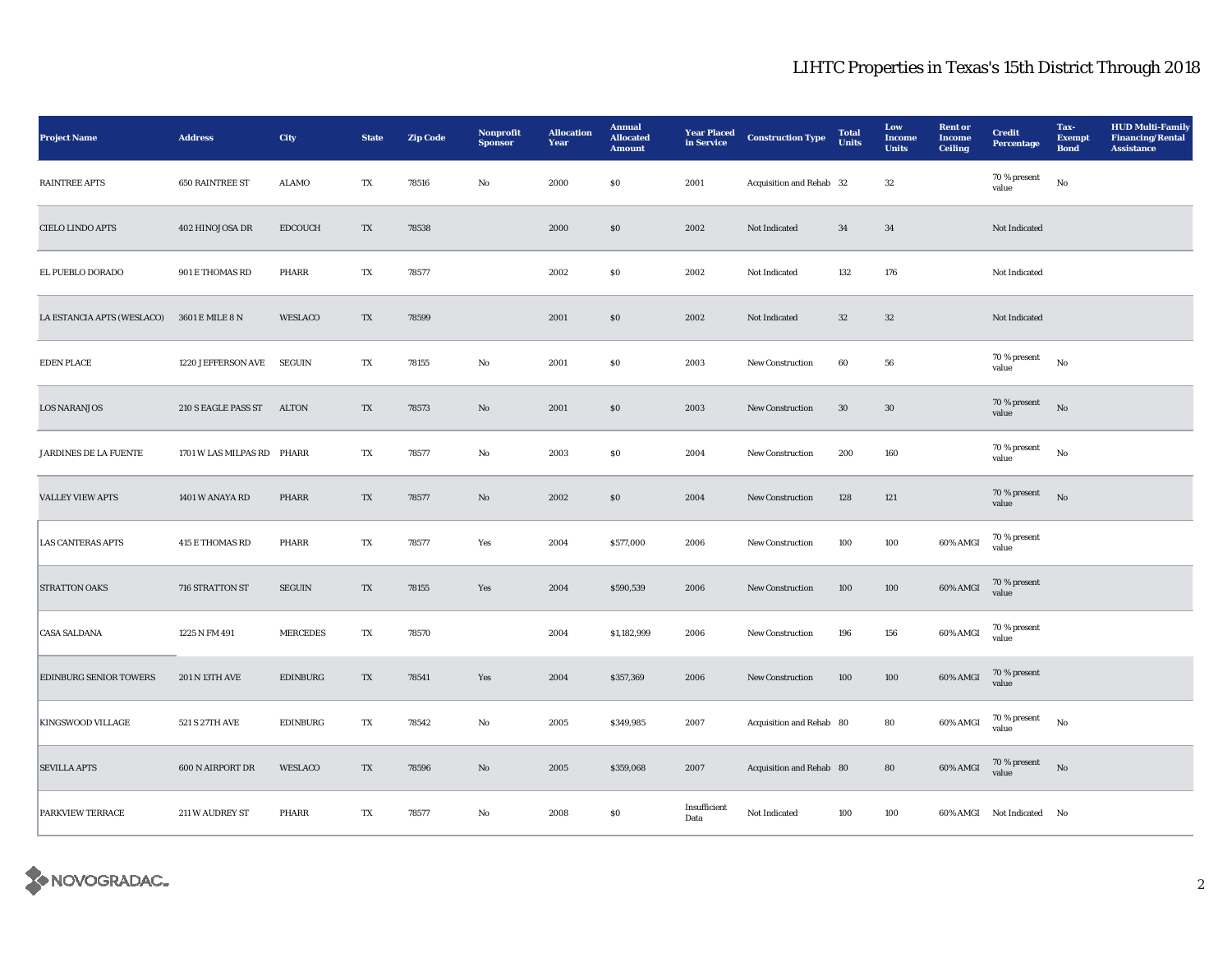| <b>Project Name</b>           | <b>Address</b>             | City            | <b>State</b> | <b>Zip Code</b> | Nonprofit<br><b>Sponsor</b> | <b>Allocation</b><br>Year | <b>Annual</b><br><b>Allocated</b><br><b>Amount</b> | <b>Year Placed</b><br>in Service | <b>Construction Type</b> | <b>Total</b><br>Units | Low<br>Income<br><b>Units</b> | <b>Rent</b> or<br><b>Income</b><br><b>Ceiling</b> | <b>Credit</b><br><b>Percentage</b> | Tax-<br><b>Exempt</b><br><b>Bond</b> | <b>HUD Multi-Family</b><br><b>Financing/Rental</b><br><b>Assistance</b> |
|-------------------------------|----------------------------|-----------------|--------------|-----------------|-----------------------------|---------------------------|----------------------------------------------------|----------------------------------|--------------------------|-----------------------|-------------------------------|---------------------------------------------------|------------------------------------|--------------------------------------|-------------------------------------------------------------------------|
| <b>RAINTREE APTS</b>          | <b>650 RAINTREE ST</b>     | <b>ALAMO</b>    | TX           | 78516           | No                          | 2000                      | $\$0$                                              | 2001                             | Acquisition and Rehab 32 |                       | $32\,$                        |                                                   | 70 % present<br>value              | No                                   |                                                                         |
| <b>CIELO LINDO APTS</b>       | 402 HINOJOSA DR            | <b>EDCOUCH</b>  | TX           | 78538           |                             | 2000                      | \$0\$                                              | 2002                             | Not Indicated            | 34                    | 34                            |                                                   | Not Indicated                      |                                      |                                                                         |
| EL PUEBLO DORADO              | 901 E THOMAS RD            | PHARR           | TX           | 78577           |                             | 2002                      | \$0\$                                              | 2002                             | Not Indicated            | 132                   | 176                           |                                                   | Not Indicated                      |                                      |                                                                         |
| LA ESTANCIA APTS (WESLACO)    | 3601 E MILE 8 N            | WESLACO         | TX           | 78599           |                             | 2001                      | \$0\$                                              | 2002                             | Not Indicated            | 32                    | $32\,$                        |                                                   | Not Indicated                      |                                      |                                                                         |
| <b>EDEN PLACE</b>             | 1220 JEFFERSON AVE         | <b>SEGUIN</b>   | TX           | 78155           | $\rm No$                    | 2001                      | ${\bf S0}$                                         | 2003                             | New Construction         | 60                    | 56                            |                                                   | 70 % present<br>value              | $_{\rm No}$                          |                                                                         |
| <b>LOS NARANJOS</b>           | 210 S EAGLE PASS ST        | ALTON           | TX           | 78573           | No                          | 2001                      | $\boldsymbol{\mathsf{S}}\boldsymbol{\mathsf{O}}$   | 2003                             | <b>New Construction</b>  | $30\,$                | $30\,$                        |                                                   | 70 % present<br>value              | No                                   |                                                                         |
| <b>JARDINES DE LA FUENTE</b>  | 1701 W LAS MILPAS RD PHARR |                 | TX           | 78577           | No                          | 2003                      | \$0                                                | 2004                             | <b>New Construction</b>  | 200                   | 160                           |                                                   | 70 % present<br>value              | No                                   |                                                                         |
| <b>VALLEY VIEW APTS</b>       | 1401 W ANAYA RD            | PHARR           | TX           | 78577           | No                          | 2002                      | \$0\$                                              | 2004                             | <b>New Construction</b>  | 128                   | 121                           |                                                   | 70 % present<br>value              | $\rm \bf No$                         |                                                                         |
| <b>LAS CANTERAS APTS</b>      | <b>415 E THOMAS RD</b>     | PHARR           | TX           | 78577           | Yes                         | 2004                      | \$577,000                                          | 2006                             | New Construction         | 100                   | 100                           | 60% AMGI                                          | 70 % present<br>value              |                                      |                                                                         |
| <b>STRATTON OAKS</b>          | 716 STRATTON ST            | ${\tt SEGUN}$   | TX           | 78155           | Yes                         | 2004                      | \$590,539                                          | 2006                             | New Construction         | 100                   | 100                           | 60% AMGI                                          | 70 % present<br>value              |                                      |                                                                         |
| <b>CASA SALDANA</b>           | 1225 N FM 491              | <b>MERCEDES</b> | TX           | 78570           |                             | 2004                      | \$1,182,999                                        | 2006                             | New Construction         | 196                   | 156                           | $60\%$ AMGI                                       | 70 % present<br>value              |                                      |                                                                         |
| <b>EDINBURG SENIOR TOWERS</b> | <b>201 N 13TH AVE</b>      | <b>EDINBURG</b> | TX           | 78541           | Yes                         | 2004                      | \$357,369                                          | 2006                             | New Construction         | 100                   | 100                           | 60% AMGI                                          | 70 % present<br>value              |                                      |                                                                         |
| <b>KINGSWOOD VILLAGE</b>      | 521 S 27TH AVE             | <b>EDINBURG</b> | TX           | 78542           | No                          | 2005                      | \$349,985                                          | 2007                             | Acquisition and Rehab 80 |                       | 80                            | 60% AMGI                                          | 70 % present<br>value              | No                                   |                                                                         |
| <b>SEVILLA APTS</b>           | 600 N AIRPORT DR           | WESLACO         | TX           | 78596           | $\mathbf{N}\mathbf{o}$      | 2005                      | \$359,068                                          | 2007                             | Acquisition and Rehab 80 |                       | 80                            | 60% AMGI                                          | 70 % present<br>value              | $\mathbf{N}\mathbf{o}$               |                                                                         |
| PARKVIEW TERRACE              | 211 W AUDREY ST            | PHARR           | TX           | 78577           | No                          | 2008                      | \$0\$                                              | Insufficient<br>Data             | Not Indicated            | 100                   | 100                           |                                                   | 60% AMGI Not Indicated No          |                                      |                                                                         |

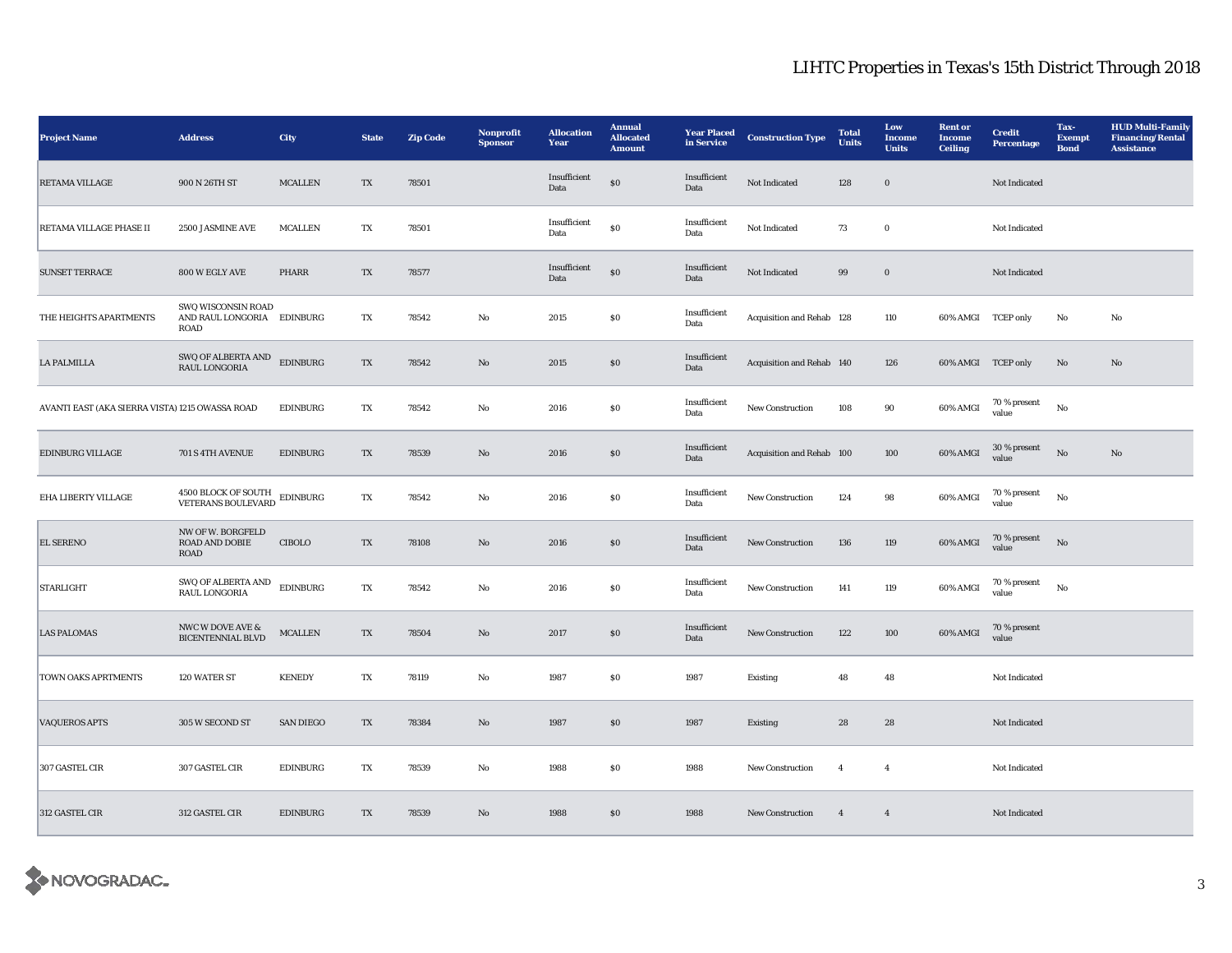| <b>Project Name</b>                             | <b>Address</b>                                                  | City             | <b>State</b> | <b>Zip Code</b> | Nonprofit<br><b>Sponsor</b> | <b>Allocation</b><br>Year | <b>Annual</b><br><b>Allocated</b><br><b>Amount</b> | <b>Year Placed</b><br>in Service | <b>Construction Type</b>  | <b>Total</b><br>Units | Low<br><b>Income</b><br><b>Units</b> | <b>Rent or</b><br><b>Income</b><br><b>Ceiling</b> | <b>Credit</b><br><b>Percentage</b> | Tax-<br><b>Exempt</b><br><b>Bond</b> | <b>HUD Multi-Family</b><br><b>Financing/Rental</b><br><b>Assistance</b> |
|-------------------------------------------------|-----------------------------------------------------------------|------------------|--------------|-----------------|-----------------------------|---------------------------|----------------------------------------------------|----------------------------------|---------------------------|-----------------------|--------------------------------------|---------------------------------------------------|------------------------------------|--------------------------------------|-------------------------------------------------------------------------|
| <b>RETAMA VILLAGE</b>                           | 900 N 26TH ST                                                   | MCALLEN          | TX           | 78501           |                             | Insufficient<br>Data      | $\$0$                                              | Insufficient<br>Data             | Not Indicated             | 128                   | $\boldsymbol{0}$                     |                                                   | Not Indicated                      |                                      |                                                                         |
| RETAMA VILLAGE PHASE II                         | 2500 JASMINE AVE                                                | <b>MCALLEN</b>   | TX           | 78501           |                             | Insufficient<br>Data      | $\$0$                                              | Insufficient<br>Data             | Not Indicated             | 73                    | $\mathbf 0$                          |                                                   | Not Indicated                      |                                      |                                                                         |
| <b>SUNSET TERRACE</b>                           | 800 W EGLY AVE                                                  | <b>PHARR</b>     | TX           | 78577           |                             | Insufficient<br>Data      | $\$0$                                              | Insufficient<br>Data             | Not Indicated             | 99                    | $\boldsymbol{0}$                     |                                                   | Not Indicated                      |                                      |                                                                         |
| THE HEIGHTS APARTMENTS                          | SWQ WISCONSIN ROAD<br>AND RAUL LONGORIA EDINBURG<br><b>ROAD</b> |                  | TX           | 78542           | No                          | 2015                      | ${\bf S0}$                                         | Insufficient<br>Data             | Acquisition and Rehab 128 |                       | 110                                  | 60% AMGI TCEP only                                |                                    | No                                   | $_{\rm No}$                                                             |
| <b>LA PALMILLA</b>                              | SWQ OF ALBERTA AND<br><b>RAUL LONGORIA</b>                      | <b>EDINBURG</b>  | TX           | 78542           | $\mathbf{N}\mathbf{o}$      | 2015                      | $\$0$                                              | Insufficient<br>Data             | Acquisition and Rehab 140 |                       | 126                                  | 60% AMGI TCEP only                                |                                    | No                                   | $\mathbf{No}$                                                           |
| AVANTI EAST (AKA SIERRA VISTA) 1215 OWASSA ROAD |                                                                 | <b>EDINBURG</b>  | TX           | 78542           | No                          | 2016                      | \$0\$                                              | Insufficient<br>Data             | <b>New Construction</b>   | 108                   | 90                                   | 60% AMGI                                          | 70 % present<br>value              | No                                   |                                                                         |
| <b>EDINBURG VILLAGE</b>                         | 701 S 4TH AVENUE                                                | <b>EDINBURG</b>  | TX           | 78539           | No                          | 2016                      | \$0\$                                              | Insufficient<br>Data             | Acquisition and Rehab 100 |                       | 100                                  | 60% AMGI                                          | 30 % present<br>value              | No                                   | No                                                                      |
| EHA LIBERTY VILLAGE                             | 4500 BLOCK OF SOUTH<br><b>VETERANS BOULEVARD</b>                | <b>EDINBURG</b>  | TX           | 78542           | No                          | 2016                      | \$0\$                                              | Insufficient<br>Data             | <b>New Construction</b>   | 124                   | 98                                   | 60% AMGI                                          | 70 % present<br>value              | No                                   |                                                                         |
| <b>EL SERENO</b>                                | NW OF W. BORGFELD<br>ROAD AND DOBIE<br>ROAD                     | CIBOLO           | TX           | 78108           | $\mathbf{N}\mathbf{o}$      | 2016                      | $\$0$                                              | Insufficient<br>Data             | New Construction          | 136                   | 119                                  | 60% AMGI                                          | 70 % present<br>value              | No                                   |                                                                         |
| <b>STARLIGHT</b>                                | SWQ OF ALBERTA AND<br>RAUL LONGORIA                             | <b>EDINBURG</b>  | TX           | 78542           | No                          | 2016                      | $\$0$                                              | Insufficient<br>Data             | <b>New Construction</b>   | 141                   | 119                                  | 60% AMGI                                          | 70 % present<br>value              | No                                   |                                                                         |
| <b>LAS PALOMAS</b>                              | NWC W DOVE AVE &<br><b>BICENTENNIAL BLVD</b>                    | <b>MCALLEN</b>   | TX           | 78504           | $\mathbf{N}\mathbf{o}$      | 2017                      | $\boldsymbol{\mathsf{S}}\boldsymbol{\mathsf{O}}$   | Insufficient<br>Data             | New Construction          | 122                   | 100                                  | 60% AMGI                                          | 70 % present<br>value              |                                      |                                                                         |
| TOWN OAKS APRTMENTS                             | 120 WATER ST                                                    | <b>KENEDY</b>    | TX           | 78119           | No                          | 1987                      | \$0\$                                              | 1987                             | <b>Existing</b>           | 48                    | 48                                   |                                                   | Not Indicated                      |                                      |                                                                         |
| <b>VAQUEROS APTS</b>                            | 305 W SECOND ST                                                 | <b>SAN DIEGO</b> | TX           | 78384           | $\mathbf{N}\mathbf{o}$      | 1987                      | \$0\$                                              | 1987                             | Existing                  | 28                    | 28                                   |                                                   | Not Indicated                      |                                      |                                                                         |
| 307 GASTEL CIR                                  | 307 GASTEL CIR                                                  | <b>EDINBURG</b>  | TX           | 78539           | No                          | 1988                      | $\$0$                                              | 1988                             | <b>New Construction</b>   | $\overline{4}$        | $\overline{4}$                       |                                                   | Not Indicated                      |                                      |                                                                         |
| 312 GASTEL CIR                                  | 312 GASTEL CIR                                                  | <b>EDINBURG</b>  | TX           | 78539           | No                          | 1988                      | \$0\$                                              | 1988                             | New Construction          | $\overline{4}$        | $\overline{4}$                       |                                                   | Not Indicated                      |                                      |                                                                         |

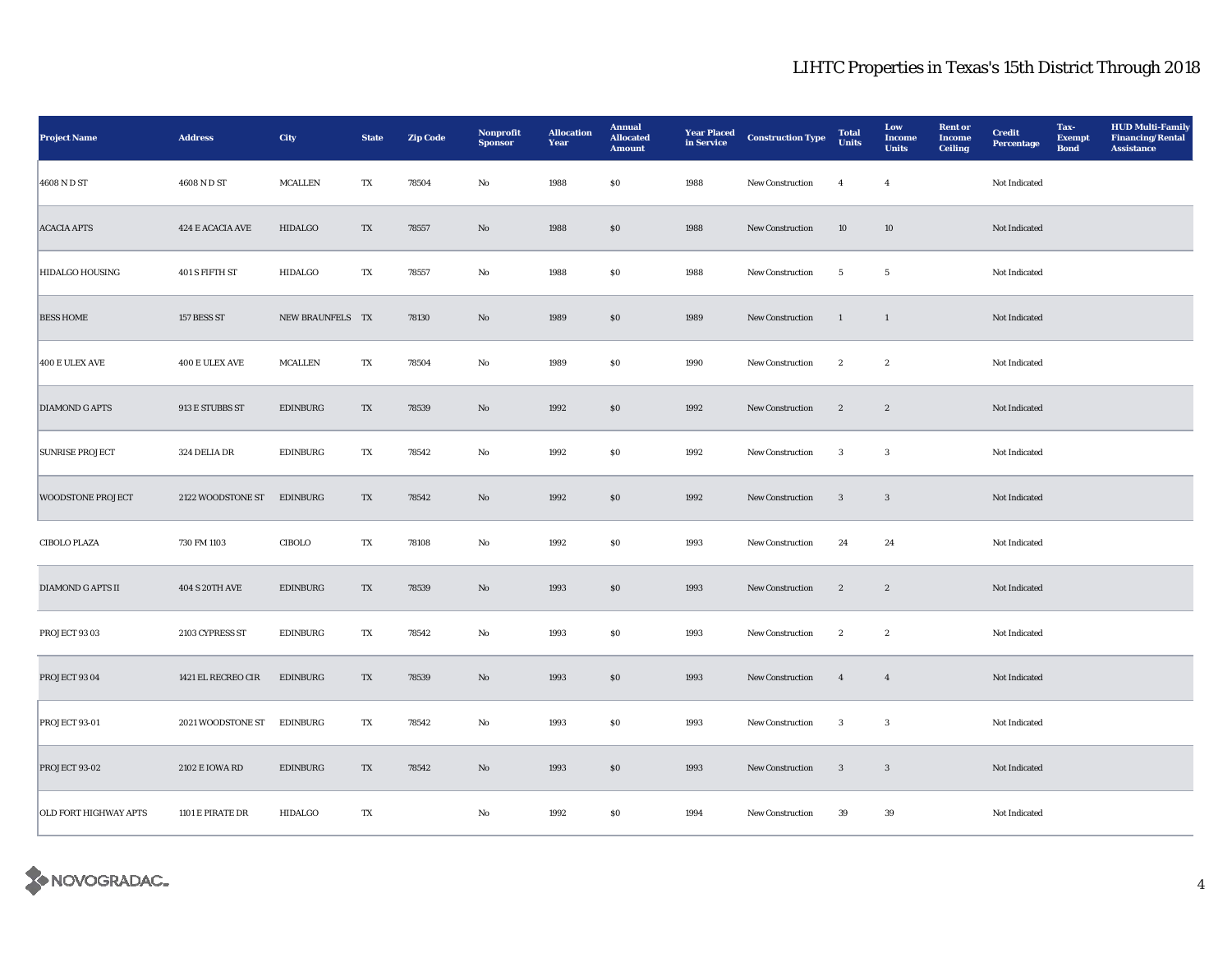| <b>Project Name</b>          | <b>Address</b>                       | City             | <b>State</b> | <b>Zip Code</b> | Nonprofit<br><b>Sponsor</b> | <b>Allocation</b><br>Year | <b>Annual</b><br><b>Allocated</b><br><b>Amount</b> | <b>Year Placed</b><br>in Service | <b>Construction Type</b> | <b>Total</b><br>Units | Low<br>Income<br><b>Units</b> | <b>Rent</b> or<br><b>Income</b><br><b>Ceiling</b> | <b>Credit</b><br><b>Percentage</b> | Tax-<br><b>Exempt</b><br><b>Bond</b> | <b>HUD Multi-Family</b><br><b>Financing/Rental</b><br><b>Assistance</b> |
|------------------------------|--------------------------------------|------------------|--------------|-----------------|-----------------------------|---------------------------|----------------------------------------------------|----------------------------------|--------------------------|-----------------------|-------------------------------|---------------------------------------------------|------------------------------------|--------------------------------------|-------------------------------------------------------------------------|
| 4608 N D ST                  | 4608 N D ST                          | MCALLEN          | TX           | 78504           | No                          | 1988                      | \$0\$                                              | 1988                             | New Construction         | $\overline{4}$        | $\overline{4}$                |                                                   | Not Indicated                      |                                      |                                                                         |
| <b>ACACIA APTS</b>           | 424 E ACACIA AVE                     | <b>HIDALGO</b>   | TX           | 78557           | No                          | 1988                      | \$0                                                | 1988                             | <b>New Construction</b>  | 10                    | 10                            |                                                   | Not Indicated                      |                                      |                                                                         |
| <b>HIDALGO HOUSING</b>       | 401 S FIFTH ST                       | <b>HIDALGO</b>   | TX           | 78557           | No                          | 1988                      | ${\bf S0}$                                         | 1988                             | New Construction         | $5\phantom{.0}$       | $5\phantom{.0}$               |                                                   | Not Indicated                      |                                      |                                                                         |
| <b>BESS HOME</b>             | 157 BESS ST                          | NEW BRAUNFELS TX |              | 78130           | $\mathbf{N}\mathbf{o}$      | 1989                      | \$0\$                                              | 1989                             | New Construction         | $\mathbf{1}$          | $\mathbf{1}$                  |                                                   | Not Indicated                      |                                      |                                                                         |
| 400 E ULEX AVE               | $400\,\mathrm{E}\,\mathrm{ULEX}$ AVE | MCALLEN          | TX           | 78504           | No                          | 1989                      | ${\bf S0}$                                         | 1990                             | New Construction         | $\,$ 2 $\,$           | $\boldsymbol{2}$              |                                                   | Not Indicated                      |                                      |                                                                         |
| <b>DIAMOND G APTS</b>        | 913 E STUBBS ST                      | <b>EDINBURG</b>  | TX           | 78539           | $\mathbf{N}\mathbf{o}$      | 1992                      | $\boldsymbol{\mathsf{S}}\boldsymbol{\mathsf{0}}$   | 1992                             | New Construction         | $\boldsymbol{2}$      | $\boldsymbol{2}$              |                                                   | Not Indicated                      |                                      |                                                                         |
| <b>SUNRISE PROJECT</b>       | 324 DELIA DR                         | <b>EDINBURG</b>  | TX           | 78542           | No                          | 1992                      | $\$0$                                              | 1992                             | New Construction         | 3                     | $\sqrt{3}$                    |                                                   | Not Indicated                      |                                      |                                                                         |
| <b>WOODSTONE PROJECT</b>     | 2122 WOODSTONE ST                    | <b>EDINBURG</b>  | TX           | 78542           | $\mathbf{N}\mathbf{o}$      | 1992                      | $\$0$                                              | 1992                             | New Construction         | $\mathbf{3}$          | $\mathbf{3}$                  |                                                   | Not Indicated                      |                                      |                                                                         |
| <b>CIBOLO PLAZA</b>          | 730 FM 1103                          | CIBOLO           | TX           | 78108           | No                          | 1992                      | $\$0$                                              | 1993                             | New Construction         | 24                    | 24                            |                                                   | Not Indicated                      |                                      |                                                                         |
| <b>DIAMOND G APTS II</b>     | <b>404 S 20TH AVE</b>                | <b>EDINBURG</b>  | TX           | 78539           | No                          | 1993                      | $\$0$                                              | 1993                             | New Construction         | $\boldsymbol{2}$      | $\boldsymbol{2}$              |                                                   | Not Indicated                      |                                      |                                                                         |
| PROJECT 93 03                | 2103 CYPRESS ST                      | <b>EDINBURG</b>  | TX           | 78542           | No                          | 1993                      | ${\bf S0}$                                         | 1993                             | <b>New Construction</b>  | $\boldsymbol{2}$      | $\boldsymbol{2}$              |                                                   | Not Indicated                      |                                      |                                                                         |
| PROJECT 93 04                | 1421 EL RECREO CIR                   | <b>EDINBURG</b>  | TX           | 78539           | No                          | 1993                      | $\$0$                                              | 1993                             | New Construction         | $\overline{4}$        | $\overline{4}$                |                                                   | Not Indicated                      |                                      |                                                                         |
| PROJECT 93-01                | 2021 WOODSTONE ST                    | <b>EDINBURG</b>  | TX           | 78542           | No                          | 1993                      | \$0\$                                              | 1993                             | <b>New Construction</b>  | $\mathbf{3}$          | $\mathbf{3}$                  |                                                   | Not Indicated                      |                                      |                                                                         |
| PROJECT 93-02                | 2102 E IOWA RD                       | <b>EDINBURG</b>  | TX           | 78542           | $\mathbf{N}\mathbf{o}$      | 1993                      | $\$0$                                              | 1993                             | New Construction         | $\mathbf{3}$          | $\mathbf{3}$                  |                                                   | Not Indicated                      |                                      |                                                                         |
| <b>OLD FORT HIGHWAY APTS</b> | 1101 E PIRATE DR                     | <b>HIDALGO</b>   | TX           |                 | No                          | 1992                      | \$0\$                                              | 1994                             | <b>New Construction</b>  | 39                    | 39                            |                                                   | Not Indicated                      |                                      |                                                                         |